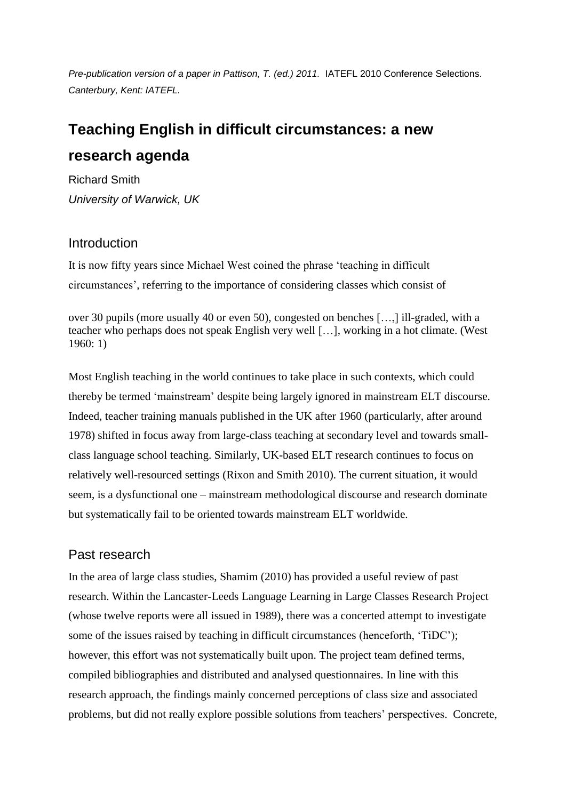*Pre-publication version of a paper in Pattison, T. (ed.) 2011.* IATEFL 2010 Conference Selections. *Canterbury, Kent: IATEFL.*

# **Teaching English in difficult circumstances: a new research agenda**

Richard Smith *University of Warwick, UK*

# Introduction

It is now fifty years since Michael West coined the phrase 'teaching in difficult circumstances', referring to the importance of considering classes which consist of

over 30 pupils (more usually 40 or even 50), congested on benches […,] ill-graded, with a teacher who perhaps does not speak English very well […], working in a hot climate. (West 1960: 1)

Most English teaching in the world continues to take place in such contexts, which could thereby be termed 'mainstream' despite being largely ignored in mainstream ELT discourse. Indeed, teacher training manuals published in the UK after 1960 (particularly, after around 1978) shifted in focus away from large-class teaching at secondary level and towards smallclass language school teaching. Similarly, UK-based ELT research continues to focus on relatively well-resourced settings (Rixon and Smith 2010). The current situation, it would seem, is a dysfunctional one – mainstream methodological discourse and research dominate but systematically fail to be oriented towards mainstream ELT worldwide.

# Past research

In the area of large class studies, Shamim (2010) has provided a useful review of past research. Within the Lancaster-Leeds Language Learning in Large Classes Research Project (whose twelve reports were all issued in 1989), there was a concerted attempt to investigate some of the issues raised by teaching in difficult circumstances (henceforth, 'TiDC'); however, this effort was not systematically built upon. The project team defined terms, compiled bibliographies and distributed and analysed questionnaires. In line with this research approach, the findings mainly concerned perceptions of class size and associated problems, but did not really explore possible solutions from teachers' perspectives. Concrete,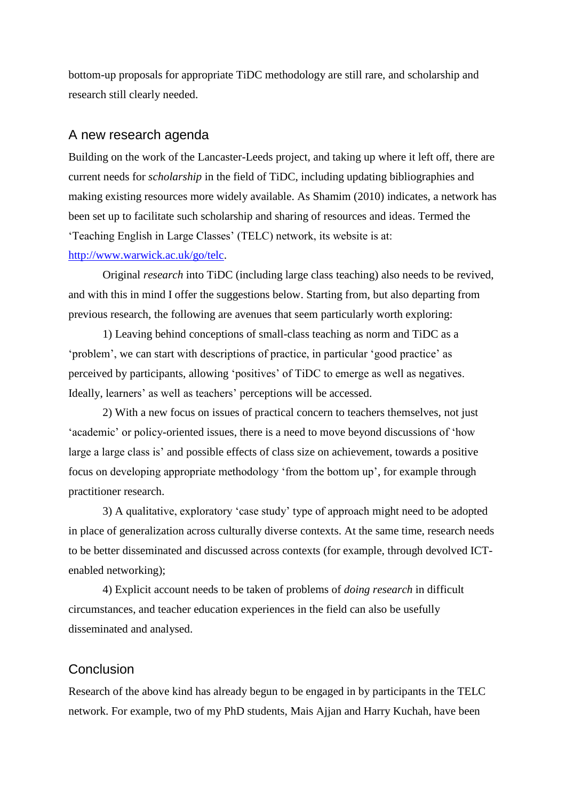bottom-up proposals for appropriate TiDC methodology are still rare, and scholarship and research still clearly needed.

#### A new research agenda

Building on the work of the Lancaster-Leeds project, and taking up where it left off, there are current needs for *scholarship* in the field of TiDC, including updating bibliographies and making existing resources more widely available. As Shamim (2010) indicates, a network has been set up to facilitate such scholarship and sharing of resources and ideas. Termed the 'Teaching English in Large Classes' (TELC) network, its website is at: [http://www.warwick.ac.uk/go/telc.](http://www.warwick.ac.uk/go/telc)

Original *research* into TiDC (including large class teaching) also needs to be revived, and with this in mind I offer the suggestions below. Starting from, but also departing from previous research, the following are avenues that seem particularly worth exploring:

1) Leaving behind conceptions of small-class teaching as norm and TiDC as a 'problem', we can start with descriptions of practice, in particular 'good practice' as perceived by participants, allowing 'positives' of TiDC to emerge as well as negatives. Ideally, learners' as well as teachers' perceptions will be accessed.

2) With a new focus on issues of practical concern to teachers themselves, not just 'academic' or policy-oriented issues, there is a need to move beyond discussions of 'how large a large class is' and possible effects of class size on achievement, towards a positive focus on developing appropriate methodology 'from the bottom up', for example through practitioner research.

3) A qualitative, exploratory 'case study' type of approach might need to be adopted in place of generalization across culturally diverse contexts. At the same time, research needs to be better disseminated and discussed across contexts (for example, through devolved ICTenabled networking);

4) Explicit account needs to be taken of problems of *doing research* in difficult circumstances, and teacher education experiences in the field can also be usefully disseminated and analysed.

## **Conclusion**

Research of the above kind has already begun to be engaged in by participants in the TELC network. For example, two of my PhD students, Mais Ajjan and Harry Kuchah, have been